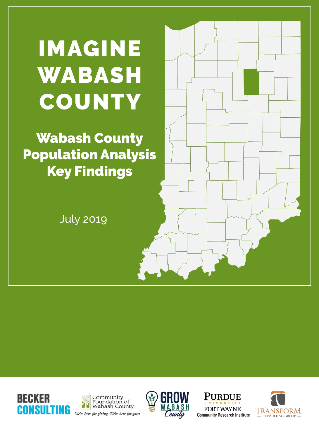# IMAGINE WABASH **COUNTY**

Wabash County Population Analysis Key Findings

July 2019



We're here for giving. We're here for good.

CONSULTING



**PURDUE FORT WAYNE Community Research Institute** 

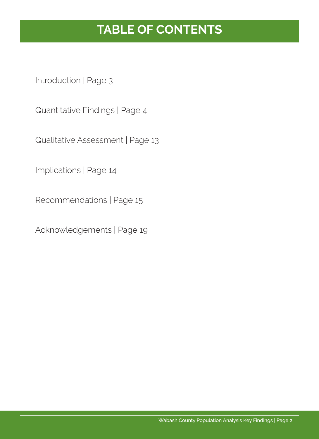# **TABLE OF CONTENTS**

Introduction | Page 3

Quantitative Findings | Page 4

Qualitative Assessment | Page 13

Implications | Page 14

Recommendations | Page 15

Acknowledgements | Page 19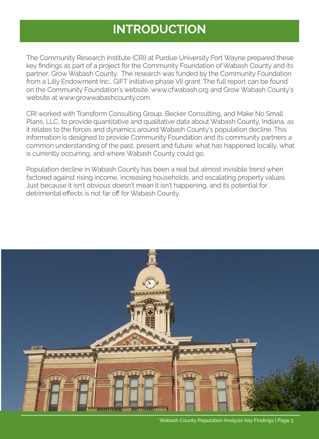## **INTRODUCTION**

The Community Research Institute (CRI) at Purdue University Fort Wayne prepared these key findings as part of a project for the Community Foundation of Wabash County and its partner, Grow Wabash County. The research was funded by the Community Foundation from a Lilly Endowment Inc., GIFT initiative phase VII grant. The full report can be found on the Community Foundation's website, www.cfwabash.org and Grow Wabash County's website at www.growwabashcounty.com.

CRI worked with Transform Consulting Group, Becker Consulting, and Make No Small Plans, LLC, to provide quantitative and qualitative data about Wabash County, Indiana, as it relates to the forces and dynamics around Wabash County's population decline. This information is designed to provide Community Foundation and its community partners a common understanding of the past, present and future: what has happened locally, what is currently occurring, and where Wabash County could go.

Population decline in Wabash County has been a real but almost invisible trend when factored against rising income, increasing households, and escalating property values. Just because it isn't obvious doesn't mean it isn't happening, and its potential for detrimental effects is not far off for Wabash County.



Wabash County Population Analysis Key Findings | Page 3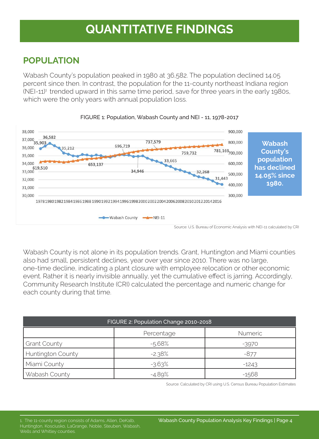### **POPULATION**

Wabash County's population peaked in 1980 at 36,582. The population declined 14.05 percent since then. In contrast, the population for the 11-county northeast Indiana region  $(NEI-11)<sup>1</sup>$  trended upward in this same time period, save for three years in the early 1980s, which were the only years with annual population loss.





Wabash County is not alone in its population trends. Grant, Huntington and Miami counties also had small, persistent declines, year over year since 2010. There was no large, one-time decline, indicating a plant closure with employee relocation or other economic event. Rather it is nearly invisible annually, yet the cumulative effect is jarring. Accordingly, Community Research Institute (CRI) calculated the percentage and numeric change for each county during that time.

| FIGURE 2: Population Change 2010-2018 |          |         |  |  |  |  |
|---------------------------------------|----------|---------|--|--|--|--|
| <b>Numeric</b><br>Percentage          |          |         |  |  |  |  |
| <b>Grant County</b><br>$-5.68%$       |          | $-3970$ |  |  |  |  |
| <b>Huntington County</b>              | $-2.38%$ | $-877$  |  |  |  |  |
| Miami County                          | $-3.63%$ | $-1243$ |  |  |  |  |
| Wabash County                         | $-4.89%$ | -1568   |  |  |  |  |

Source: Calculated by CRI using U.S. Census Bureau Population Estimates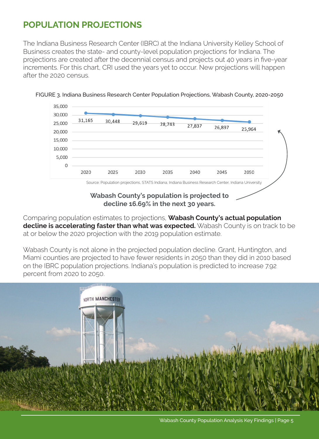### **POPULATION PROJECTIONS**

The Indiana Business Research Center (IBRC) at the Indiana University Kelley School of Business creates the state- and county-level population projections for Indiana. The projections are created after the decennial census and projects out 40 years in five-year increments. For this chart, CRI used the years yet to occur. New projections will happen after the 2020 census.





**Wabash County's population is projected to decline 16.69% in the next 30 years.**

Comparing population estimates to projections, **Wabash County's actual population decline is accelerating faster than what was expected.** Wabash County is on track to be at or below the 2020 projection with the 2019 population estimate.

Wabash County is not alone in the projected population decline. Grant, Huntington, and Miami counties are projected to have fewer residents in 2050 than they did in 2010 based on the IBRC population projections. Indiana's population is predicted to increase 7.92 percent from 2020 to 2050.

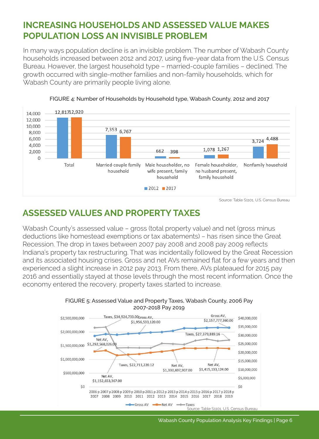### **INCREASING HOUSEHOLDS AND ASSESSED VALUE MAKES POPULATION LOSS AN INVISIBLE PROBLEM**

In many ways population decline is an invisible problem. The number of Wabash County households increased between 2012 and 2017, using five-year data from the U.S. Census Bureau. However, the largest household type – married-couple families – declined. The growth occurred with single-mother families and non-family households, which for Wabash County are primarily people living alone.



FIGURE 4: Number of Households by Household type, Wabash County, 2012 and 2017

### **ASSESSED VALUES AND PROPERTY TAXES**

Wabash County's assessed value – gross (total property value) and net (gross minus deductions like homestead exemptions or tax abatements) – has risen since the Great Recession. The drop in taxes between 2007 pay 2008 and 2008 pay 2009 reflects Indiana's property tax restructuring. That was incidentally followed by the Great Recession and its associated housing crises. Gross and net AVs remained flat for a few years and then experienced a slight increase in 2012 pay 2013. From there, AVs plateaued for 2015 pay 2016 and essentially stayed at those levels through the most recent information. Once the economy entered the recovery, property taxes started to increase.



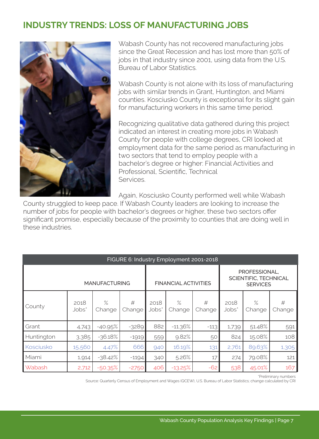### **INDUSTRY TRENDS: LOSS OF MANUFACTURING JOBS**



Wabash County has not recovered manufacturing jobs since the Great Recession and has lost more than 50% of jobs in that industry since 2001, using data from the U.S. Bureau of Labor Statistics.

Wabash County is not alone with its loss of manufacturing jobs with similar trends in Grant, Huntington, and Miami counties. Kosciusko County is exceptional for its slight gain for manufacturing workers in this same time period.

Recognizing qualitative data gathered during this project indicated an interest in creating more jobs in Wabash County for people with college degrees, CRI looked at employment data for the same period as manufacturing in two sectors that tend to employ people with a bachelor's degree or higher: Financial Activities and Professional, Scientific, Technical **Services** 

Again, Kosciusko County performed well while Wabash

County struggled to keep pace. If Wabash County leaders are looking to increase the number of jobs for people with bachelor's degrees or higher, these two sectors offer significant promise, especially because of the proximity to counties that are doing well in these industries.

| FIGURE 6: Industry Employment 2001-2018 |               |                |                      |               |                |                                                           |               |                |             |
|-----------------------------------------|---------------|----------------|----------------------|---------------|----------------|-----------------------------------------------------------|---------------|----------------|-------------|
| <b>MANUFACTURING</b>                    |               |                | FINANCIAL ACTIVITIES |               |                | PROFESSIONAL,<br>SCIENTIFIC, TECHNICAL<br><b>SERVICES</b> |               |                |             |
| County                                  | 2018<br>Jobs* | $\%$<br>Change | #<br>Change          | 2018<br>Jobs* | $\%$<br>Change | #<br>Change                                               | 2018<br>Jobs* | $\%$<br>Change | #<br>Change |
| Grant                                   | 4,743         | $-40.95%$      | $-3289$              | 882           | $-11.36%$      | $-113$                                                    | 1,739         | 51.48%         | 591         |
| Huntington                              | 3,385         | $-36.18%$      | $-1919$              | 559           | 9.82%          | 50                                                        | 824           | 15.08%         | 108         |
| Kosciusko                               | 15,560        | 4.47%          | 666                  | 940           | 16.19%         | 131                                                       | 2,761         | 89.63%         | 1,305       |
| Miami                                   | 1,914         | $-38.42%$      | $-1194$              | 340           | 5.26%          | 17                                                        | 274           | 79.08%         | 121         |
| <b>Wabash</b>                           | 2,712         | $-50.35%$      | $-2750$              | 406           | $-13.25%$      | $-62$                                                     | 538           | 45.01%         | 167         |

\*Preliminary numbers

Source: Quarterly Census of Employment and Wages (QCEW), U.S. Bureau of Labor Statistics; change calculated by CRI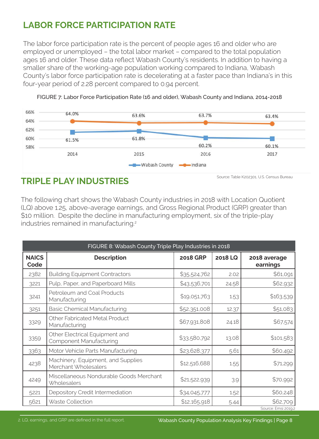### **LABOR FORCE PARTICIPATION RATE**

The labor force participation rate is the percent of people ages 16 and older who are employed or unemployed – the total labor market – compared to the total population ages 16 and older. These data reflect Wabash County's residents. In addition to having a smaller share of the working-age population working compared to Indiana, Wabash County's labor force participation rate is decelerating at a faster pace than Indiana's in this four-year period of 2.28 percent compared to 0.94 percent.





### **TRIPLE PLAY INDUSTRIES**

The following chart shows the Wabash County industries in 2018 with Location Quotient (LQ) above 1.25, above-average earnings, and Gross Regional Product (GRP) greater than \$10 million. Despite the decline in manufacturing employment, six of the triple-play industries remained in manufacturing.<sup>2</sup>

| FIGURE 8: Wabash County Triple Play Industries in 2018 |                                                                  |                 |         |                          |  |  |
|--------------------------------------------------------|------------------------------------------------------------------|-----------------|---------|--------------------------|--|--|
| <b>NAICS</b><br>Code                                   | <b>Description</b>                                               | <b>2018 GRP</b> | 2018 LQ | 2018 average<br>earnings |  |  |
| 2382                                                   | <b>Building Equipment Contractors</b>                            | \$35,524,762    | 2.02    | \$61,091                 |  |  |
| 3221                                                   | Pulp, Paper, and Paperboard Mills                                | \$43,536,701    | 24.58   | \$62,932                 |  |  |
| 3241                                                   | Petroleum and Coal Products<br>Manufacturing                     | \$19,051,763    | 1.53    | \$163,539                |  |  |
| 3251                                                   | <b>Basic Chemical Manufacturing</b>                              | \$52,351,008    | 12.37   | \$51,083                 |  |  |
| 3329                                                   | Other Fabricated Metal Product<br>Manufacturing                  | \$67,931,808    | 24.18   | \$67,574                 |  |  |
| 3359                                                   | Other Electrical Equipment and<br><b>Component Manufacturing</b> | \$33,580,792    | 13.08   | \$101,583                |  |  |
| 3363                                                   | Motor Vehicle Parts Manufacturing                                | \$23,628,377    | 5.61    | \$60,492                 |  |  |
| 4238                                                   | Machinery, Equipment, and Supplies<br>Merchant Wholesalers       | \$12,516,688    | 1.55    | \$71,299                 |  |  |
| 4249                                                   | Miscellaneous Nondurable Goods Merchant<br><b>Wholesalers</b>    | \$21,522,939    | 3.9     | \$70,992                 |  |  |
| 5221                                                   | Depository Credit Intermediation                                 | \$34,045,777    | 1.52    | \$60,248                 |  |  |
| 5621                                                   | Waste Collection                                                 | \$12,165,918    | 5.44    | \$62,709                 |  |  |
|                                                        |                                                                  |                 |         | Source: Emsi 2019.2      |  |  |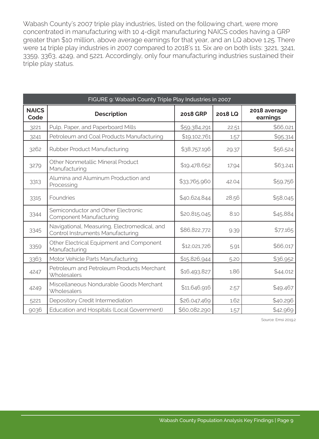Wabash County's 2007 triple play industries, listed on the following chart, were more concentrated in manufacturing with 10 4-digit manufacturing NAICS codes having a GRP greater than \$10 million, above average earnings for that year, and an LQ above 1.25. There were 14 triple play industries in 2007 compared to 2018's 11. Six are on both lists: 3221, 3241, 3359, 3363, 4249, and 5221. Accordingly, only four manufacturing industries sustained their triple play status.

| FIGURE 9: Wabash County Triple Play Industries in 2007 |                                                                                   |                 |         |                          |  |  |  |
|--------------------------------------------------------|-----------------------------------------------------------------------------------|-----------------|---------|--------------------------|--|--|--|
| <b>NAICS</b><br>Code                                   | <b>Description</b>                                                                | <b>2018 GRP</b> | 2018 LQ | 2018 average<br>earnings |  |  |  |
| 3221                                                   | Pulp, Paper, and Paperboard Mills                                                 | \$59,384,291    | 22.51   | \$66,021                 |  |  |  |
| 3241                                                   | Petroleum and Coal Products Manufacturing                                         | \$19,102,761    | 1.57    | \$95,314                 |  |  |  |
| 3262                                                   | Rubber Product Manufacturing                                                      | \$38,757,196    | 29.37   | \$56,524                 |  |  |  |
| 3279                                                   | Other Nonmetallic Mineral Product<br>Manufacturing                                | \$19,478,652    | 17.94   | \$63,241                 |  |  |  |
| 3313                                                   | Alumina and Aluminum Production and<br>Processing                                 | \$33,765,960    | 42.04   | \$59,756                 |  |  |  |
| 3315                                                   | Foundries                                                                         | \$40,624,844    | 28.56   | \$58,045                 |  |  |  |
| 3344                                                   | Semiconductor and Other Electronic<br><b>Component Manufacturing</b>              | \$20,815,045    | 8.10    | \$45,884                 |  |  |  |
| 3345                                                   | Navigational, Measuring, Electromedical, and<br>Control Instruments Manufacturing | \$86,822,772    | 9.39    | \$77,165                 |  |  |  |
| 3359                                                   | Other Electrical Equipment and Component<br>Manufacturing                         | \$12,021,726    | 5.91    | \$66,017                 |  |  |  |
| 3363                                                   | Motor Vehicle Parts Manufacturing                                                 | \$15,826,944    | 5.20    | \$36,952                 |  |  |  |
| 4247                                                   | Petroleum and Petroleum Products Merchant<br>Wholesalers                          | \$16,493,827    | 1.86    | \$44,012                 |  |  |  |
| 4249                                                   | Miscellaneous Nondurable Goods Merchant<br>Wholesalers                            | \$11,646,916    | 2.57    | \$49,467                 |  |  |  |
| 5221                                                   | Depository Credit Intermediation                                                  | \$26,047,469    | 1.62    | \$40,296                 |  |  |  |
| 9036                                                   | Education and Hospitals (Local Government)                                        | \$60,082,290    | 1.57    | \$42,969                 |  |  |  |

Source: Emsi 2019.2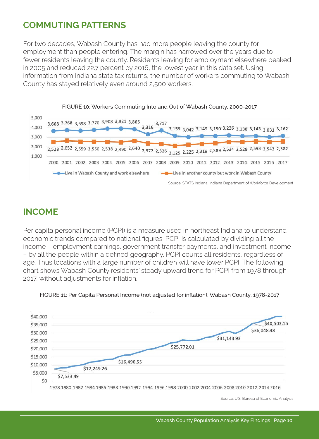### **COMMUTING PATTERNS**

For two decades, Wabash County has had more people leaving the county for employment than people entering. The margin has narrowed over the years due to fewer residents leaving the county. Residents leaving for employment elsewhere peaked in 2005 and reduced 22.7 percent by 2016, the lowest year in this data set. Using information from Indiana state tax returns, the number of workers commuting to Wabash County has stayed relatively even around 2,500 workers.



#### FIGURE 10: Workers Commuting Into and Out of Wabash County, 2000-2017

### **INCOME**

Per capita personal income (PCPI) is a measure used in northeast Indiana to understand economic trends compared to national figures. PCPI is calculated by dividing all the income – employment earnings, government transfer payments, and investment income – by all the people within a defined geography. PCPI counts all residents, regardless of age. Thus locations with a large number of children will have lower PCPI. The following chart shows Wabash County residents' steady upward trend for PCPI from 1978 through 2017, without adjustments for inflation.



FIGURE 11: Per Capita Personal Income (not adjusted for inflation), Wabash County, 1978-2017

Source: U.S. Bureau of Economic Analysis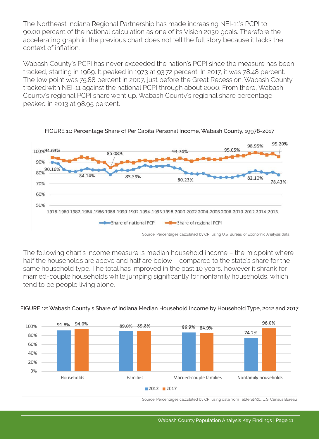The Northeast Indiana Regional Partnership has made increasing NEI-11's PCPI to 90.00 percent of the national calculation as one of its Vision 2030 goals. Therefore the accelerating graph in the previous chart does not tell the full story because it lacks the context of inflation.

Wabash County's PCPI has never exceeded the nation's PCPI since the measure has been tracked, starting in 1969. It peaked in 1973 at 93.72 percent. In 2017, it was 78.48 percent. The low point was 75.88 percent in 2007, just before the Great Recession. Wabash County tracked with NEI-11 against the national PCPI through about 2000. From there, Wabash County's regional PCPI share went up. Wabash County's regional share percentage peaked in 2013 at 98.95 percent.



FIGURE 11: Percentage Share of Per Capita Personal Income, Wabash County, 19978-2017

The following chart's income measure is median household income – the midpoint where half the households are above and half are below – compared to the state's share for the same household type. The total has improved in the past 10 years, however it shrank for married-couple households while jumping significantly for nonfamily households, which tend to be people living alone.



#### FIGURE 12: Wabash County's Share of Indiana Median Household Income by Household Type, 2012 and 2017

Source: Percentages calculated by CRI using data from Table S1901, U.S. Census Bureau

Source: Percentages calculated by CRI using U.S. Bureau of Economic Analysis data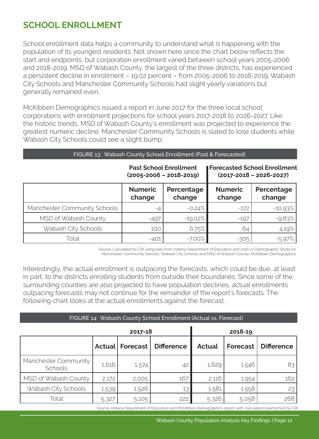### **SCHOOL ENROLLMENT**

School enrollment data helps a community to understand what is happening with the population of its youngest residents. Not shown here since the chart below reflects the start and endpoints, but corporation enrollment varied between school years 2005-2006 and 2018-2019. MSD of Wabash County, the largest of the three districts, has experienced a persistent decline in enrollment – 19.02 percent – from 2005-2006 to 2018-2019. Wabash City Schools and Manchester Community Schools had slight yearly variations but generally remained even.

McKibben Demographics issued a report in June 2017 for the three local school corporations with enrollment projections for school years 2017-2018 to 2026-2027. Like the historic trends, MSD of Wabash County's enrollment was projected to experience the greatest numeric decline. Manchester Community Schools is slated to lose students while Wabash City Schools could see a slight bump.

| FIGURE 13: Wabash County School Enrollment (Past & Forecasted) |  |
|----------------------------------------------------------------|--|
|----------------------------------------------------------------|--|

#### **Past School Enrollment (2005-2006 – 2018-2019)**

**Forecasted School Enrollment (2017-2018 – 2026-2027)**

|                              | <b>Numeric</b><br>change | Percentage<br>change | <b>Numeric</b><br>change | Percentage<br>change |
|------------------------------|--------------------------|----------------------|--------------------------|----------------------|
| Manchester Community Schools | -4                       | $-0.24%$             | $-172$                   | $-10.93%$            |
| MSD of Wabash County         | $-497$                   | $-19.02\%$           | $-197$                   | $-9.83%$             |
| Wabash City Schools          | 100                      | 6.75%                | 64                       | 4.19%                |
| Total                        | $-401$                   | $-7.00\%$            | $-305$                   | $-5.97%$             |

Source: Calculated by CRI using data from Indiana Department of Education and 2016-17 Demographic Study for Manchester Community Schools, Wabash City Schools and MSD of Wabash County, McKibben Demographics

Interestingly, the actual enrollment is outpacing the forecasts, which could be due, at least in part, to the districts enrolling students from outside their boundaries. Since some of the surrounding counties are also projected to have population declines, actual enrollments outpacing forecasts may not continue for the remainder of the report's forecasts. The following chart looks at the actual enrollments against the forecast.

#### FIGURE 14: Wabash County School Enrollment (Actual vs. Forecast) ٠

|                                 | 2018-19 |                   |                   |               |          |                   |
|---------------------------------|---------|-------------------|-------------------|---------------|----------|-------------------|
|                                 |         | Actual   Forecast | <b>Difference</b> | <b>Actual</b> | Forecast | <b>Difference</b> |
| Manchester Community<br>Schools | 1,616   | 1,574             | 42                | 1,629         | 1,546    | 83                |
| MSD of Wabash County            | 2,172   | 2,005             | 167               | 2,116         | 1,954    | 162               |
| Wabash City Schools             | 1,539   | 1,526             | 13                | 1,581         | 1,558    | 23                |
| Total                           | 5,327   | 5,105             | 222               | 5,326         | 5,058    | 268               |

Source: Indiana Department of Education and McKibben Demographics report, with calculations performed by CRI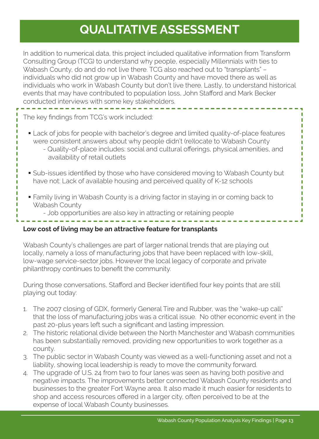# **QUALITATIVE ASSESSMENT**

In addition to numerical data, this project included qualitative information from Transform Consulting Group (TCG) to understand why people, especially Millennials with ties to Wabash County, do and do not live there. TCG also reached out to "transplants" – individuals who did not grow up in Wabash County and have moved there as well as individuals who work in Wabash County but don't live there. Lastly, to understand historical events that may have contributed to population loss, John Stafford and Mark Becker conducted interviews with some key stakeholders.

The key findings from TCG's work included:

- Lack of jobs for people with bachelor's degree and limited quality-of-place features were consistent answers about why people didn't (re)locate to Wabash County
	- Quality-of-place includes: social and cultural offerings, physical amenities, and availability of retail outlets
- Sub-issues identified by those who have considered moving to Wabash County but have not: Lack of available housing and perceived quality of K-12 schools
- Family living in Wabash County is a driving factor in staying in or coming back to Wabash County
	- Job opportunities are also key in attracting or retaining people

#### **Low cost of living may be an attractive feature for transplants**

Wabash County's challenges are part of larger national trends that are playing out locally, namely a loss of manufacturing jobs that have been replaced with low-skill, low-wage service-sector jobs. However the local legacy of corporate and private philanthropy continues to benefit the community.

During those conversations, Stafford and Becker identified four key points that are still playing out today:

- 1. The 2007 closing of GDX, formerly General Tire and Rubber, was the "wake-up call" that the loss of manufacturing jobs was a critical issue. No other economic event in the past 20-plus years left such a significant and lasting impression.
- 2. The historic relational divide between the North Manchester and Wabash communities has been substantially removed, providing new opportunities to work together as a county.
- 3. The public sector in Wabash County was viewed as a well-functioning asset and not a liability, showing local leadership is ready to move the community forward.
- 4. The upgrade of U.S. 24 from two to four lanes was seen as having both positive and negative impacts. The improvements better connected Wabash County residents and businesses to the greater Fort Wayne area. It also made it much easier for residents to shop and access resources offered in a larger city, often perceived to be at the expense of local Wabash County businesses.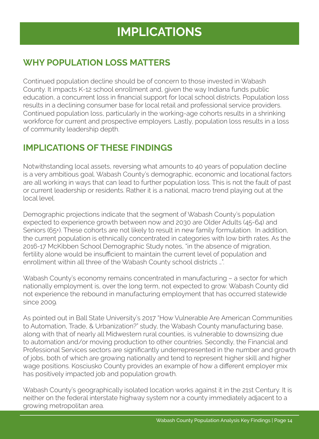# **IMPLICATIONS**

### **WHY POPULATION LOSS MATTERS**

Continued population decline should be of concern to those invested in Wabash County. It impacts K-12 school enrollment and, given the way Indiana funds public education, a concurrent loss in financial support for local school districts. Population loss results in a declining consumer base for local retail and professional service providers. Continued population loss, particularly in the working-age cohorts results in a shrinking workforce for current and prospective employers. Lastly, population loss results in a loss of community leadership depth.

### **IMPLICATIONS OF THESE FINDINGS**

Notwithstanding local assets, reversing what amounts to 40 years of population decline is a very ambitious goal. Wabash County's demographic, economic and locational factors are all working in ways that can lead to further population loss. This is not the fault of past or current leadership or residents. Rather it is a national, macro trend playing out at the local level.

Demographic projections indicate that the segment of Wabash County's population expected to experience growth between now and 2030 are Older Adults (45-64) and Seniors (65+). These cohorts are not likely to result in new family formulation. In addition, the current population is ethnically concentrated in categories with low birth rates. As the 2016-17 McKibben School Demographic Study notes, "in the absence of migration, fertility alone would be insufficient to maintain the current level of population and enrollment within all three of the Wabash County school districts …".

Wabash County's economy remains concentrated in manufacturing – a sector for which nationally employment is, over the long term, not expected to grow. Wabash County did not experience the rebound in manufacturing employment that has occurred statewide since 2009.

As pointed out in Ball State University's 2017 "How Vulnerable Are American Communities to Automation, Trade, & Urbanization?" study, the Wabash County manufacturing base, along with that of nearly all Midwestern rural counties, is vulnerable to downsizing due to automation and/or moving production to other countries. Secondly, the Financial and Professional Services sectors are significantly underrepresented in the number and growth of jobs, both of which are growing nationally and tend to represent higher skill and higher wage positions. Kosciusko County provides an example of how a different employer mix has positively impacted job and population growth.

Wabash County's geographically isolated location works against it in the 21st Century. It is neither on the federal interstate highway system nor a county immediately adjacent to a growing metropolitan area.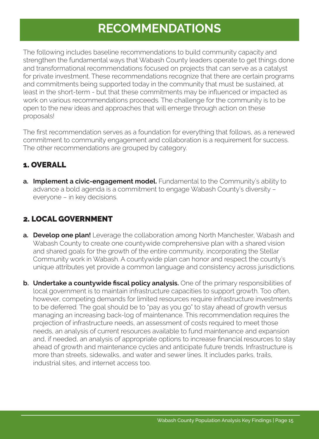# **RECOMMENDATIONS**

The following includes baseline recommendations to build community capacity and strengthen the fundamental ways that Wabash County leaders operate to get things done and transformational recommendations focused on projects that can serve as a catalyst for private investment. These recommendations recognize that there are certain programs and commitments being supported today in the community that must be sustained, at least in the short-term - but that these commitments may be influenced or impacted as work on various recommendations proceeds. The challenge for the community is to be open to the new ideas and approaches that will emerge through action on these proposals!

The first recommendation serves as a foundation for everything that follows, as a renewed commitment to community engagement and collaboration is a requirement for success. The other recommendations are grouped by category.

### 1. OVERALL

**a. Implement a civic-engagement model.** Fundamental to the Community's ability to advance a bold agenda is a commitment to engage Wabash County's diversity – everyone – in key decisions.

### 2. LOCAL GOVERNMENT

- **a. Develop one plan!** Leverage the collaboration among North Manchester, Wabash and Wabash County to create one countywide comprehensive plan with a shared vision and shared goals for the growth of the entire community, incorporating the Stellar Community work in Wabash. A countywide plan can honor and respect the county's unique attributes yet provide a common language and consistency across jurisdictions.
- **b. Undertake a countywide fiscal policy analysis.** One of the primary responsibilities of local government is to maintain infrastructure capacities to support growth. Too often, however, competing demands for limited resources require infrastructure investments to be deferred. The goal should be to "pay as you go" to stay ahead of growth versus managing an increasing back-log of maintenance. This recommendation requires the projection of infrastructure needs, an assessment of costs required to meet those needs, an analysis of current resources available to fund maintenance and expansion and, if needed, an analysis of appropriate options to increase financial resources to stay ahead of growth and maintenance cycles and anticipate future trends. Infrastructure is more than streets, sidewalks, and water and sewer lines. It includes parks, trails, industrial sites, and internet access too.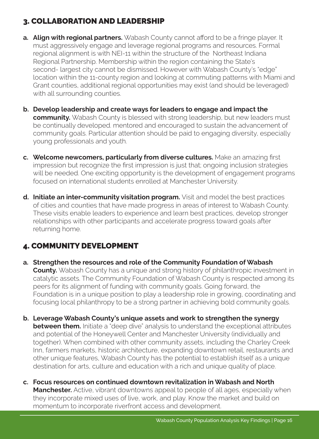### 3. COLLABORATION AND LEADERSHIP

- **a. Align with regional partners.** Wabash County cannot afford to be a fringe player. It must aggressively engage and leverage regional programs and resources. Formal regional alignment is with NEI-11 within the structure of the Northeast Indiana Regional Partnership. Membership within the region containing the State's second- largest city cannot be dismissed. However with Wabash County's "edge" location within the 11-county region and looking at commuting patterns with Miami and Grant counties, additional regional opportunities may exist (and should be leveraged) with all surrounding counties.
- **b. Develop leadership and create ways for leaders to engage and impact the community.** Wabash County is blessed with strong leadership, but new leaders must be continually developed. mentored and encouraged to sustain the advancement of community goals. Particular attention should be paid to engaging diversity, especially young professionals and youth.
- **c. Welcome newcomers, particularly from diverse cultures.** Make an amazing first impression but recognize the first impression is just that; ongoing inclusion strategies will be needed. One exciting opportunity is the development of engagement programs focused on international students enrolled at Manchester University.
- **d. Initiate an inter-community visitation program.** Visit and model the best practices of cities and counties that have made progress in areas of interest to Wabash County. These visits enable leaders to experience and learn best practices, develop stronger relationships with other participants and accelerate progress toward goals after returning home.

### 4. COMMUNITY DEVELOPMENT

- **a. Strengthen the resources and role of the Community Foundation of Wabash County.** Wabash County has a unique and strong history of philanthropic investment in catalytic assets. The Community Foundation of Wabash County is respected among its peers for its alignment of funding with community goals. Going forward, the Foundation is in a unique position to play a leadership role in growing, coordinating and focusing local philanthropy to be a strong partner in achieving bold community goals.
- **b. Leverage Wabash County's unique assets and work to strengthen the synergy between them.** Initiate a "deep dive" analysis to understand the exceptional attributes and potential of the Honeywell Center and Manchester University (individually and together). When combined with other community assets, including the Charley Creek Inn, farmers markets, historic architecture, expanding downtown retail, restaurants and other unique features, Wabash County has the potential to establish itself as a unique destination for arts, culture and education with a rich and unique quality of place.
- **c. Focus resources on continued downtown revitalization in Wabash and North Manchester.** Active, vibrant downtowns appeal to people of all ages, especially when they incorporate mixed uses of live, work, and play. Know the market and build on momentum to incorporate riverfront access and development.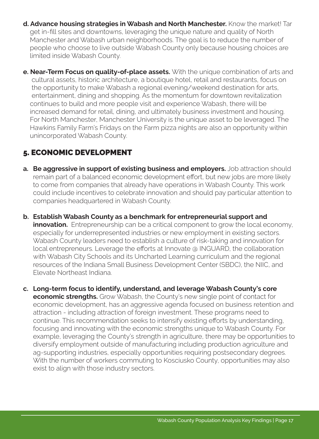- **d. Advance housing strategies in Wabash and North Manchester.** Know the market! Tar get in-fill sites and downtowns, leveraging the unique nature and quality of North Manchester and Wabash urban neighborhoods. The goal is to reduce the number of people who choose to live outside Wabash County only because housing choices are limited inside Wabash County.
- **e. Near-Term Focus on quality-of-place assets.** With the unique combination of arts and cultural assets, historic architecture, a boutique hotel, retail and restaurants, focus on the opportunity to make Wabash a regional evening/weekend destination for arts, entertainment, dining and shopping. As the momentum for downtown revitalization continues to build and more people visit and experience Wabash, there will be increased demand for retail, dining, and ultimately business investment and housing. For North Manchester, Manchester University is the unique asset to be leveraged. The Hawkins Family Farm's Fridays on the Farm pizza nights are also an opportunity within unincorporated Wabash County.

### 5. ECONOMIC DEVELOPMENT

- **a. Be aggressive in support of existing business and employers.** Job attraction should remain part of a balanced economic development effort, but new jobs are more likely to come from companies that already have operations in Wabash County. This work could include incentives to celebrate innovation and should pay particular attention to companies headquartered in Wabash County.
- **b. Establish Wabash County as a benchmark for entrepreneurial support and innovation.** Entrepreneurship can be a critical component to grow the local economy, especially for underrepresented industries or new employment in existing sectors. Wabash County leaders need to establish a culture of risk-taking and innovation for local entrepreneurs. Leverage the efforts at Innovate @ INGUARD, the collaboration with Wabash City Schools and its Uncharted Learning curriculum and the regional resources of the Indiana Small Business Development Center (SBDC), the NIIC, and Elevate Northeast Indiana.
- **c. Long-term focus to identify, understand, and leverage Wabash County's core economic strengths.** Grow Wabash, the County's new single point of contact for economic development, has an aggressive agenda focused on business retention and attraction - including attraction of foreign investment. These programs need to continue. This recommendation seeks to intensify existing efforts by understanding, focusing and innovating with the economic strengths unique to Wabash County. For example, leveraging the County's strength in agriculture, there may be opportunities to diversify employment outside of manufacturing including production agriculture and ag-supporting industries, especially opportunities requiring postsecondary degrees. With the number of workers commuting to Kosciusko County, opportunities may also exist to align with those industry sectors.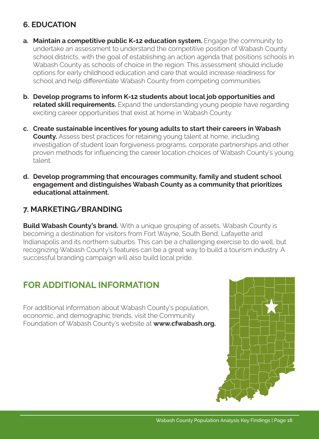### **6. EDUCATION**

- **a.** Maintain a competitive public K-12 education system. Engage the community to undertake an assessment to understand the competitive position of Wabash County school districts, with the goal of establishing an action agenda that positions schools in Wabash County as schools of choice in the region. This assessment should include options for early childhood education and care that would increase readiness for school and help differentiate Wabash County from competing communities.
- **b. Develop programs to inform K-12 students about local job opportunities and related skill requirements.** Expand the understanding young people have regarding exciting career opportunities that exist at home in Wabash County.
- **c. Create sustainable incentives for young adults to start their careers in Wabash County.** Assess best practices for retaining young talent at home, including investigation of student loan forgiveness programs, corporate partnerships and other proven methods for influencing the career location choices of Wabash County's young talent.
- **d. Develop programming that encourages community, family and student school engagement and distinguishes Wabash County as a community that prioritizes educational attainment.**

### **7. MARKETING/BRANDING**

**Build Wabash County's brand.** With a unique grouping of assets, Wabash County is becoming a destination for visitors from Fort Wayne, South Bend, Lafayette and Indianapolis and its northern suburbs. This can be a challenging exercise to do well, but recognizing Wabash County's features can be a great way to build a tourism industry. A successful branding campaign will also build local pride.

### **FOR ADDITIONAL INFORMATION**

For additional information about Wabash County's population, economic, and demographic trends, visit the Community Foundation of Wabash County's website at **www.cfwabash.org.**